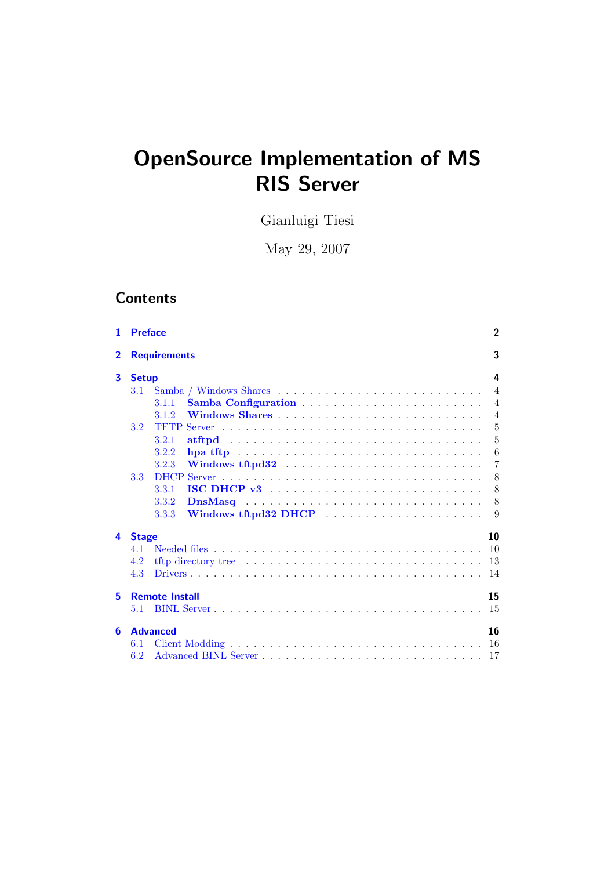# OpenSource Implementation of MS RIS Server

Gianluigi Tiesi

May 29, 2007

# **Contents**

| 1              | <b>Preface</b>                         | $\overline{2}$ |
|----------------|----------------------------------------|----------------|
| $\overline{2}$ | <b>Requirements</b>                    | 3              |
| 3              | <b>Setup</b>                           | 4              |
|                | 3.1                                    | $\overline{4}$ |
|                | 3.1.1                                  | $\overline{4}$ |
|                | 3.1.2                                  | $\overline{4}$ |
|                | 3.2<br>TFTP                            | $\overline{5}$ |
|                | 3.2.1                                  | $\overline{5}$ |
|                | 3.2.2                                  | 6              |
|                | 3.2.3                                  | $\overline{7}$ |
|                | 3.3                                    | 8              |
|                | $\text{ISC} \text{ DHCP } v3$<br>3.3.1 | 8              |
|                | 3.3.2                                  | 8              |
|                | Windows tftpd32 DHCP<br>3.3.3          | 9              |
| 4              | <b>Stage</b>                           | 10             |
|                | 4 1                                    | 10             |
|                | 4.2                                    | 13             |
|                | 4.3                                    | 14             |
| 5              | <b>Remote Install</b>                  | 15             |
|                | 5.1                                    | 15             |
| 6              | <b>Advanced</b>                        | 16             |
|                | 6.1                                    | 16             |
|                | 6.2                                    | -17            |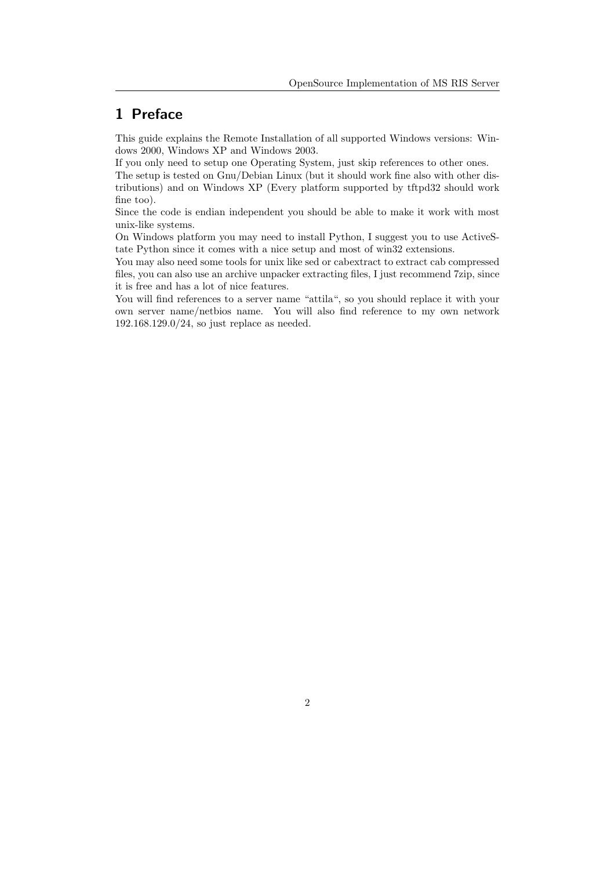# <span id="page-1-0"></span>1 Preface

This guide explains the Remote Installation of all supported Windows versions: Windows 2000, Windows XP and Windows 2003.

If you only need to setup one Operating System, just skip references to other ones.

The setup is tested on Gnu/Debian Linux (but it should work fine also with other distributions) and on Windows XP (Every platform supported by tftpd32 should work fine too).

Since the code is endian independent you should be able to make it work with most unix-like systems.

On Windows platform you may need to install Python, I suggest you to use ActiveState Python since it comes with a nice setup and most of win32 extensions.

You may also need some tools for unix like sed or cabextract to extract cab compressed files, you can also use an archive unpacker extracting files, I just recommend 7zip, since it is free and has a lot of nice features.

You will find references to a server name "attila", so you should replace it with your own server name/netbios name. You will also find reference to my own network 192.168.129.0/24, so just replace as needed.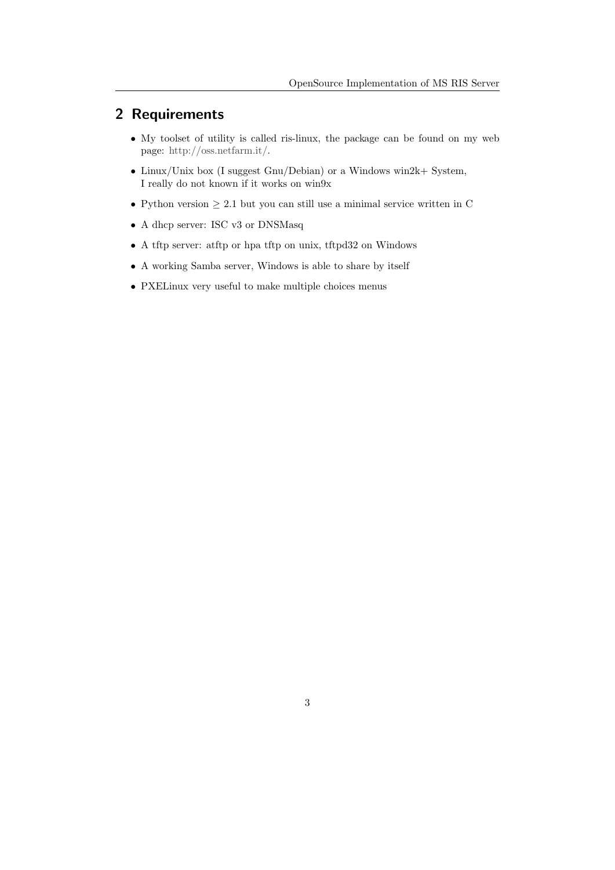# <span id="page-2-0"></span>2 Requirements

- My toolset of utility is called ris-linux, the package can be found on my web page: [http://oss.netfarm.it/.](http://oss.netfarm.it/)
- Linux/Unix box (I suggest Gnu/Debian) or a Windows win2k+ System, I really do not known if it works on win9x
- Python version  $\geq 2.1$  but you can still use a minimal service written in C
- A dhcp server: ISC v3 or DNSMasq
- A tftp server: atftp or hpa tftp on unix, tftpd32 on Windows
- A working Samba server, Windows is able to share by itself
- PXELinux very useful to make multiple choices menus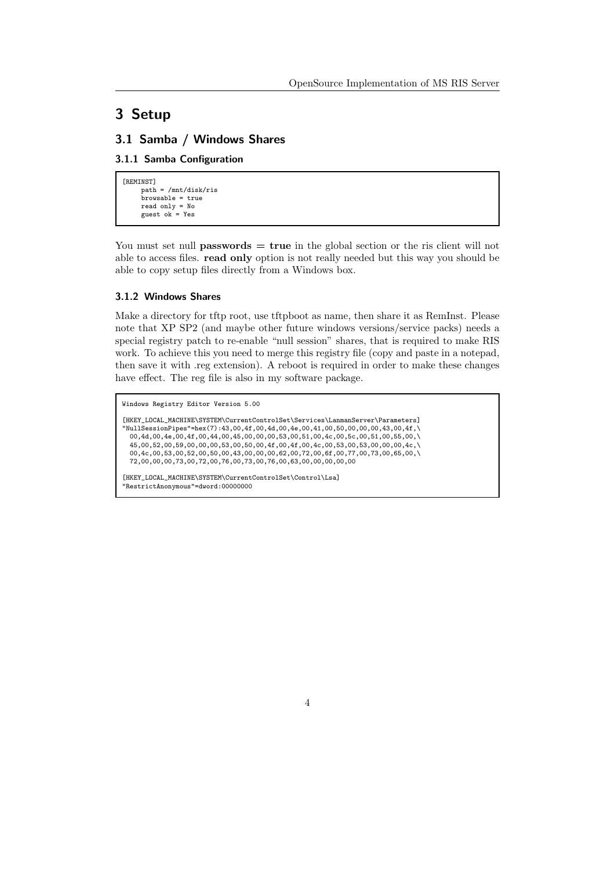## <span id="page-3-0"></span>3 Setup

#### <span id="page-3-1"></span>3.1 Samba / Windows Shares

#### <span id="page-3-2"></span>3.1.1 Samba Configuration

```
[REMINST]
      path = /mnt/disk/ris
      browsable = true
read only = No
     guest ok = Yes
```
You must set null **passwords**  $=$  **true** in the global section or the ris client will not able to access files. read only option is not really needed but this way you should be able to copy setup files directly from a Windows box.

#### <span id="page-3-3"></span>3.1.2 Windows Shares

Make a directory for tftp root, use tftpboot as name, then share it as RemInst. Please note that XP SP2 (and maybe other future windows versions/service packs) needs a special registry patch to re-enable "null session" shares, that is required to make RIS work. To achieve this you need to merge this registry file (copy and paste in a notepad, then save it with .reg extension). A reboot is required in order to make these changes have effect. The reg file is also in my software package.

```
Windows Registry Editor Version 5.00
[HKEY_LOCAL_MACHINE\SYSTEM\CurrentControlSet\Services\LanmanServer\Parameters]
"NullSessionPipes"=hex(7):43,00,4f,00,4d,00,4e,00,41,00,50,00,00,00,43,00,4f,\
  00,4d,00,4e,00,4f,00,44,00,45,00,00,00,53,00,51,00,4c,00,5c,00,51,00,55,00,\
  45,00,52,00,59,00,00,00,53,00,50,00,4f,00,4f,00,4c,00,53,00,53,00,00,00,4c,\
 00,4c,00,53,00,52,00,50,00,43,00,00,00,62,00,72,00,6f,00,77,00,73,00,65,00,\
 72,00,00,00,73,00,72,00,76,00,73,00,76,00,63,00,00,00,00,00
[HKEY_LOCAL_MACHINE\SYSTEM\CurrentControlSet\Control\Lsa]
"RestrictAnonymous"=dword:00000000
```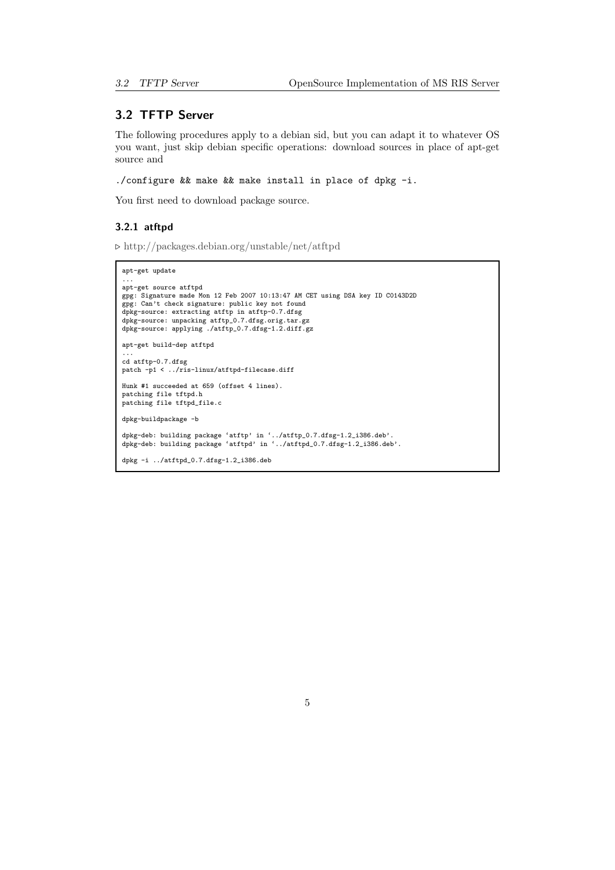#### <span id="page-4-0"></span>3.2 TFTP Server

The following procedures apply to a debian sid, but you can adapt it to whatever OS you want, just skip debian specific operations: download sources in place of apt-get source and

./configure && make && make install in place of dpkg -i.

You first need to download package source.

#### <span id="page-4-1"></span>3.2.1 atftpd

 $\triangleright$  <http://packages.debian.org/unstable/net/atftpd>

```
apt-get update
...
apt-get source atftpd
gpg: Signature made Mon 12 Feb 2007 10:13:47 AM CET using DSA key ID C0143D2D
gpg: Can't check signature: public key not found
dpkg-source: extracting atftp in atftp-0.7.dfsg
dpkg-source: unpacking atftp_0.7.dfsg.orig.tar.gz
dpkg-source: applying ./atftp_0.7.dfsg-1.2.diff.gz
apt-get build-dep atftpd
...
cd atftp-0.7.dfsg
patch -p1 < ../ris-linux/atftpd-filecase.diff
Hunk #1 succeeded at 659 (offset 4 lines).
patching file tftpd.h
patching file tftpd_file.c
dpkg-buildpackage -b
dpkg-deb: building package 'atftp' in '../atftp_0.7.dfsg-1.2_i386.deb'.
dpkg-deb: building package 'atftpd' in '../atftpd_0.7.dfsg-1.2_i386.deb'.
dpkg -i ../atftpd_0.7.dfsg-1.2_i386.deb
```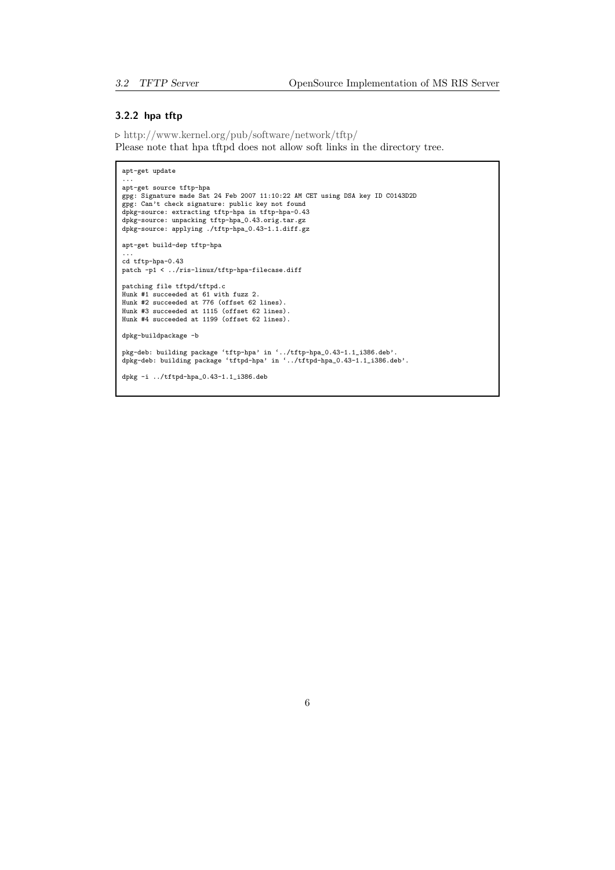#### <span id="page-5-0"></span>3.2.2 hpa tftp

. <http://www.kernel.org/pub/software/network/tftp/> Please note that hpa tftpd does not allow soft links in the directory tree.

```
apt-get update
 ...
apt-get source tftp-hpa
 gpg: Signature made Sat 24 Feb 2007 11:10:22 AM CET using DSA key ID C0143D2D<br>gpg: Can't check signature: public key not found<br>dpkg-source: extracting tftp-hpa in tftp-hpa-0.43<br>dpkg-source: unpacking tftp-hpa_0.43.orig.tar
dpkg-source: applying ./tftp-hpa_0.43-1.1.diff.gz
apt-get build-dep tftp-hpa
 ...
cd tftp-hpa-0.43
patch -p1 < ../ris-linux/tftp-hpa-filecase.diff
 patching file tftpd/tftpd.c
Hunk #1 succeeded at 61 with fuzz 2.
Hunk #2 succeeded at 776 (offset 62 lines).
Hunk #3 succeeded at 1115 (offset 62 lines).
Hunk #4 succeeded at 1199 (offset 62 lines).
dpkg-buildpackage -b
 pkg-deb: building package 'tftp-hpa' in '../tftp-hpa_0.43-1.1_i386.deb'.
dpkg-deb: building package 'tftpd-hpa' in '../tftpd-hpa_0.43-1.1_i386.deb'.
dpkg -i ../tftpd-hpa_0.43-1.1_i386.deb
```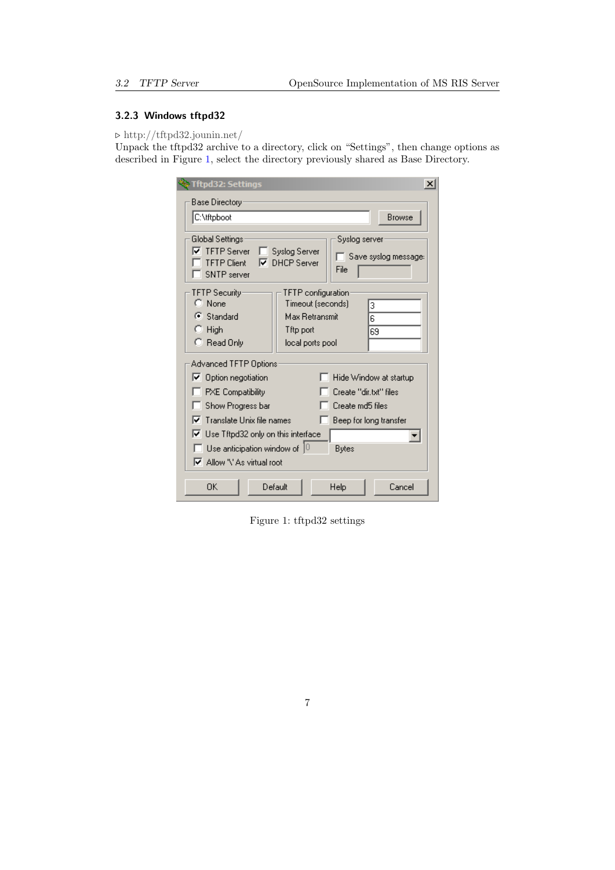## <span id="page-6-0"></span>3.2.3 Windows tftpd32

 $\triangleright$  <http://tftpd32.jounin.net/>

Unpack the tftpd32 archive to a directory, click on "Settings", then change options as described in Figure [1,](#page-6-1) select the directory previously shared as Base Directory.

| <b>Tftpd32: Settings</b><br>$\boldsymbol{\times}$                                                                                                                                                                                                                                                                                                                                  |
|------------------------------------------------------------------------------------------------------------------------------------------------------------------------------------------------------------------------------------------------------------------------------------------------------------------------------------------------------------------------------------|
| Base Directory                                                                                                                                                                                                                                                                                                                                                                     |
| C:\tftpboot<br>Browse                                                                                                                                                                                                                                                                                                                                                              |
| Global Settings:<br>Syslog server<br><b>▽</b> TFTP Server<br>Syslog Server<br>Save syslog message:<br><b>TFTP Client</b><br><b>DHCP</b> Server<br>⊽<br>File<br>SNTP server                                                                                                                                                                                                         |
| TFTP Security<br>TFTP configuration<br>$C$ None<br>Timeout (seconds)<br>з<br>$\mathbf{G}$ Standard<br>Max Retransmit<br>6<br>$\blacksquare$ High<br>Tftp port<br>69<br>$\heartsuit$ Read Only<br>local ports pool                                                                                                                                                                  |
| Advanced TFTP Options<br>○ Option negotiation<br>Hide Window at startup<br><b>PXE</b> Compatibility<br>Create "dir.txt" files<br>Show Progress bar<br>Create md5 files<br>$\nabla$ Translate Unix file names<br>Beep for long transfer<br>$\nabla$ Use Tftpd32 only on this interface<br>$\Box$ Use anticipation window of $]^\Box$<br><b>Bytes</b><br>☑ Allow '\' As virtual root |
| Default<br>ΩK<br>Help<br>Cancel                                                                                                                                                                                                                                                                                                                                                    |

<span id="page-6-1"></span>Figure 1: tftpd32 settings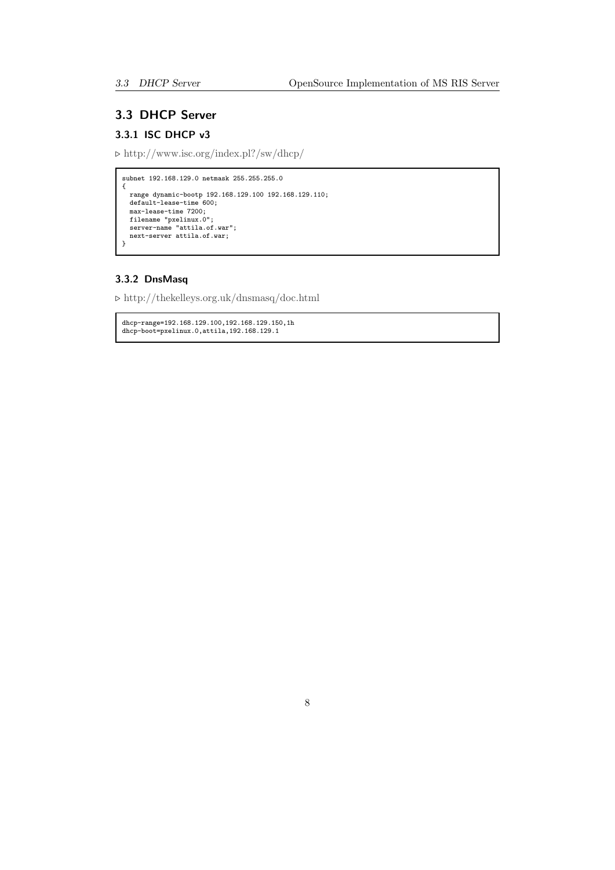## <span id="page-7-0"></span>3.3 DHCP Server

## <span id="page-7-1"></span>3.3.1 ISC DHCP v3

 $\triangleright$ <http://www.isc.org/index.pl?/sw/dhcp/>

```
subnet 192.168.129.0 netmask 255.255.255.0
{
   range dynamic-bootp 192.168.129.100 192.168.129.110;
default-lease-time 600;
   max-lease-time 7200;
filename "pxelinux.0";
   server-name "attila.of.war";
next-server attila.of.war;
}
```
#### <span id="page-7-2"></span>3.3.2 DnsMasq

 $\triangleright$ <http://thekelleys.org.uk/dnsmasq/doc.html>

```
dhcp-range=192.168.129.100,192.168.129.150,1h
dhcp-boot=pxelinux.0,attila,192.168.129.1
```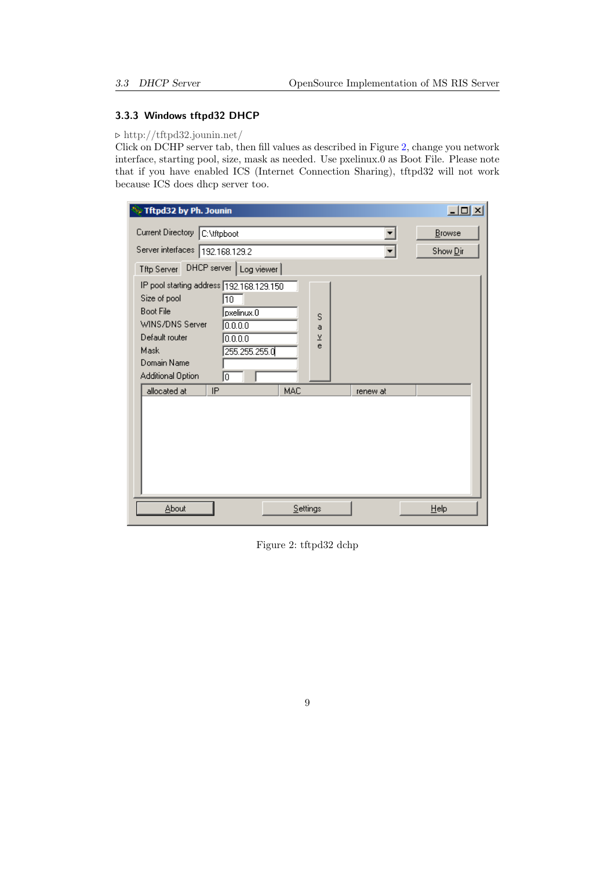#### <span id="page-8-0"></span>3.3.3 Windows tftpd32 DHCP

#### $\triangleright$  <http://tftpd32.jounin.net/>

Click on DCHP server tab, then fill values as described in Figure [2,](#page-8-1) change you network interface, starting pool, size, mask as needed. Use pxelinux.0 as Boot File. Please note that if you have enabled ICS (Internet Connection Sharing), tftpd32 will not work because ICS does dhcp server too.

| े Tftpd32 by Ph. Jounin                                                                                                                                                                                                        | $-10X$                  |
|--------------------------------------------------------------------------------------------------------------------------------------------------------------------------------------------------------------------------------|-------------------------|
| Current Directory C:\tftpboot                                                                                                                                                                                                  | Browse                  |
| Server interfaces 192.168.129.2                                                                                                                                                                                                | Show Dir                |
| DHCP server   Log viewer  <br>Tftp Server                                                                                                                                                                                      |                         |
| IP pool starting address 192.168.129.150<br>Size of pool<br>而<br><b>Boot File</b><br>loxelinux.0<br>WINS/DNS Server<br>0.0.0.0<br>Default router<br>0.0.0.0<br>Mask<br>255.255.255.0<br>Domain Name<br>Additional Option<br>Ιo | s<br>a<br>$\frac{v}{e}$ |
| IP<br>MAC<br>allocated at<br>About<br>Settings                                                                                                                                                                                 | renew at<br>Help        |

<span id="page-8-1"></span>Figure 2: tftpd32 dchp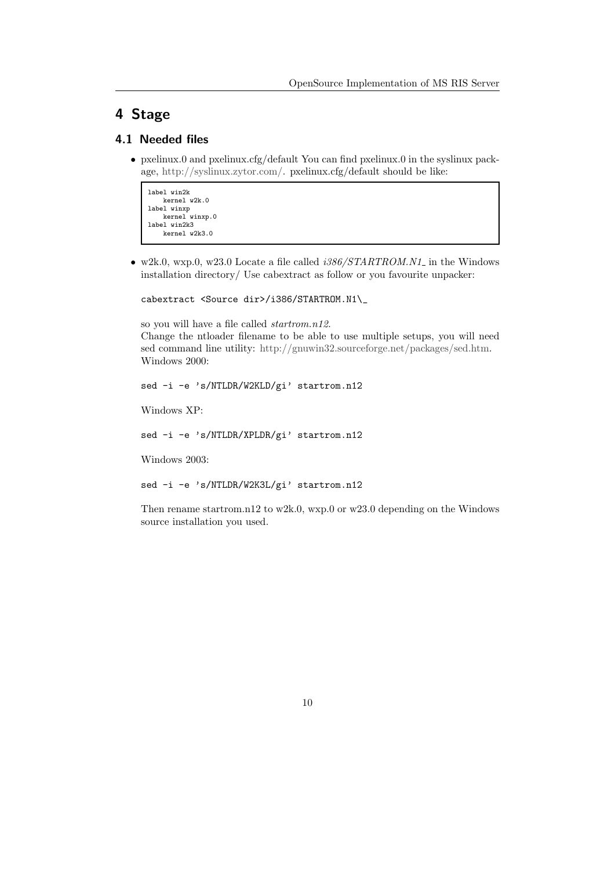# <span id="page-9-0"></span>4 Stage

## <span id="page-9-1"></span>4.1 Needed files

• pxelinux.0 and pxelinux.cfg/default You can find pxelinux.0 in the syslinux package, [http://syslinux.zytor.com/.](http://syslinux.zytor.com/) pxelinux.cfg/default should be like:

```
label win2k
   kernel w2k.0
label winxp
   kernel winxp.0
label win2k3
   kernel w2k3.0
```
 $\bullet\,$  w2k.0, wxp.0, w23.0 Locate a file called  $i386/STARTROM.N1_$  in the Windows installation directory/ Use cabextract as follow or you favourite unpacker:

cabextract <Source dir>/i386/STARTROM.N1\\_

so you will have a file called startrom.n12. Change the ntloader filename to be able to use multiple setups, you will need sed command line utility: [http://gnuwin32.sourceforge.net/packages/sed.htm.](http://gnuwin32.sourceforge.net/packages/sed.htm) Windows 2000:

```
sed -i -e 's/NTLDR/W2KLD/gi' startrom.n12
```
Windows XP:

sed -i -e 's/NTLDR/XPLDR/gi' startrom.n12

Windows 2003:

sed -i -e 's/NTLDR/W2K3L/gi' startrom.n12

Then rename startrom.n12 to w2k.0, wxp.0 or w23.0 depending on the Windows source installation you used.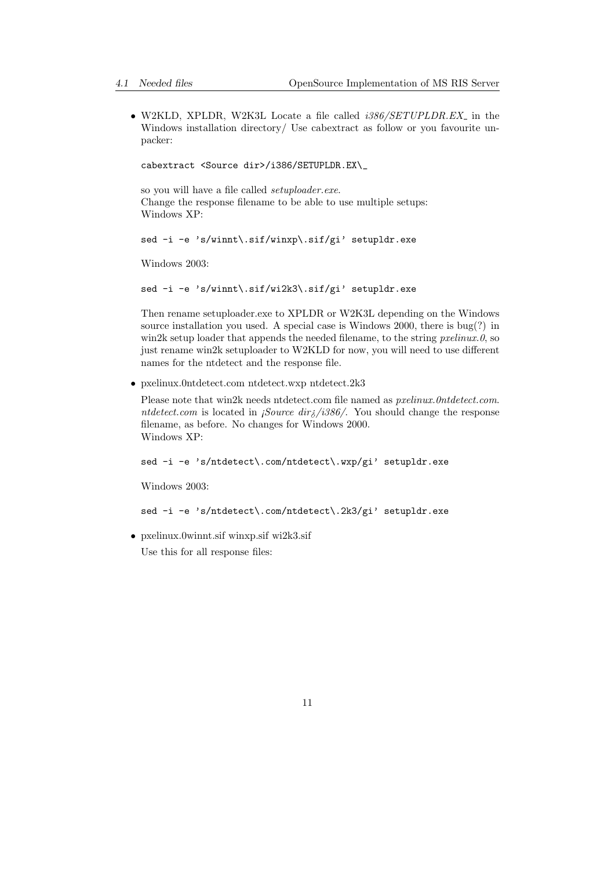• W2KLD, XPLDR, W2K3L Locate a file called *i386/SETUPLDR.EX* in the Windows installation directory/ Use cabextract as follow or you favourite unpacker:

cabextract <Source dir>/i386/SETUPLDR.EX\\_

so you will have a file called setuploader.exe. Change the response filename to be able to use multiple setups: Windows XP:

sed -i -e 's/winnt\.sif/winxp\.sif/gi' setupldr.exe

Windows 2003:

sed -i -e 's/winnt\.sif/wi2k3\.sif/gi' setupldr.exe

Then rename setuploader.exe to XPLDR or W2K3L depending on the Windows source installation you used. A special case is Windows 2000, there is bug(?) in win2k setup loader that appends the needed filename, to the string  $prelinux.0$ , so just rename win2k setuploader to W2KLD for now, you will need to use different names for the ntdetect and the response file.

• pxelinux.0ntdetect.com ntdetect.wxp ntdetect.2k3

Please note that win2k needs ntdetect.com file named as *pxelinux.0ntdetect.com*. ntdetect.com is located in *¡Source dir* $\frac{1}{6}$ /*i386*/. You should change the response filename, as before. No changes for Windows 2000. Windows XP:

sed -i -e 's/ntdetect\.com/ntdetect\.wxp/gi' setupldr.exe

Windows 2003:

sed -i -e 's/ntdetect\.com/ntdetect\.2k3/gi' setupldr.exe

• pxelinux.0winnt.sif winxp.sif wi2k3.sif

Use this for all response files: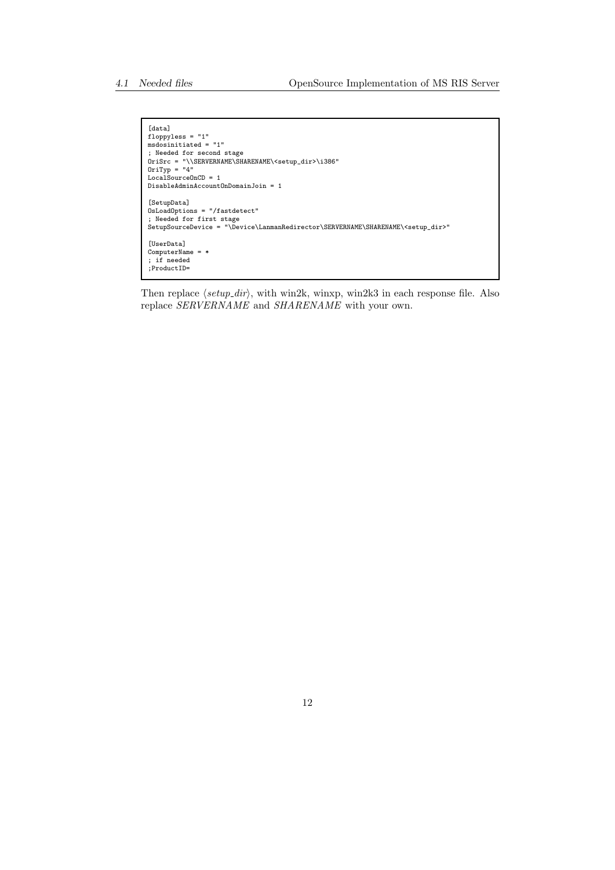```
[data]
floppyless = "1"
msdosinitiated = "1"
; Needed for second stage<br>OriSrc = "\\SERVERNAME\SHARENAME\<setup_dir>\i386"<br>OriTyp = "4"<br>LocalSourceOnCD = 1
DisableAdminAccountOnDomainJoin = 1
[SetupData]
OsLoadOptions = "/fastdetect"
; Needed for first stage
SetupSourceDevice = "\Device\LanmanRedirector\SERVERNAME\SHARENAME\<setup_dir>"
[UserData]
ComputerName = *
; if needed
;ProductID=
```
Then replace  $\langle setup\_dir \rangle$ , with win2k, winxp, win2k3 in each response file. Also replace SERVERNAME and SHARENAME with your own.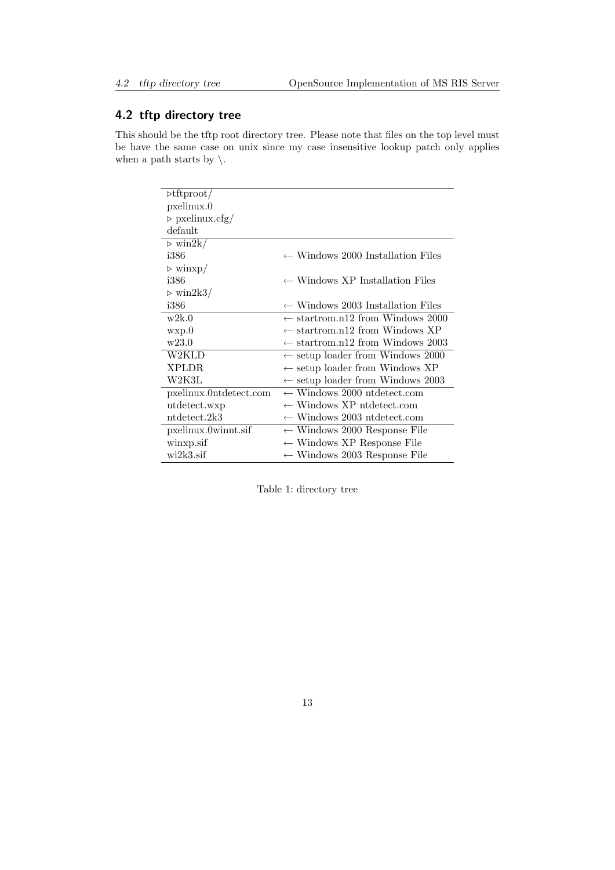## <span id="page-12-0"></span>4.2 tftp directory tree

This should be the tftp root directory tree. Please note that files on the top level must be have the same case on unix since my case insensitive lookup patch only applies when a path starts by  $\setminus$ .

| $\triangleright \text{tftproot}/$ |                                              |
|-----------------------------------|----------------------------------------------|
| pxelinux.0                        |                                              |
| $\triangleright$ pxelinux.cfg/    |                                              |
| default                           |                                              |
| $\triangleright$ win2k/           |                                              |
| i386                              | $\leftarrow$ Windows 2000 Installation Files |
| $\triangleright$ winxp/           |                                              |
| i386                              | $\leftarrow$ Windows XP Installation Files   |
| $\triangleright$ win2k3/          |                                              |
| i386                              | $\leftarrow$ Windows 2003 Installation Files |
| w2k.0                             | $\leftarrow$ startrom.n12 from Windows 2000  |
| wxp.0                             | $\leftarrow$ startrom.n12 from Windows XP    |
| w23.0                             | $\leftarrow$ startrom.n12 from Windows 2003  |
| W2KLD                             | $\leftarrow$ setup loader from Windows 2000  |
| XPLDR.                            | $\leftarrow$ setup loader from Windows XP    |
| W2K3L                             | $\leftarrow$ setup loader from Windows 2003  |
| pxelinux.0ntdetect.com            | $\leftarrow$ Windows 2000 ntdetect.com       |
| ntdetect.wxp                      | $\leftarrow$ Windows XP ntdetect.com         |
| ntdetect.2k3                      | $\leftarrow$ Windows 2003 ntdetect.com       |
| pxelinux.0winnt.sif               | $\leftarrow$ Windows 2000 Response File      |
| winxp.sif                         | $\leftarrow$ Windows XP Response File        |
| $wi2k3$ .sif                      | $\leftarrow$ Windows 2003 Response File      |

Table 1: directory tree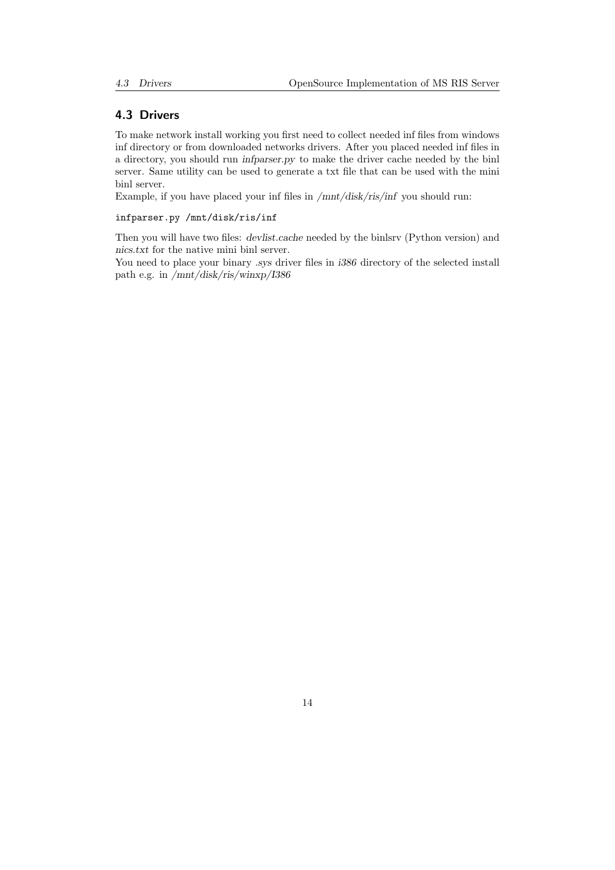#### <span id="page-13-0"></span>4.3 Drivers

To make network install working you first need to collect needed inf files from windows inf directory or from downloaded networks drivers. After you placed needed inf files in a directory, you should run infparser.py to make the driver cache needed by the binl server. Same utility can be used to generate a txt file that can be used with the mini binl server.

Example, if you have placed your inf files in /mnt/disk/ris/inf you should run:

#### infparser.py /mnt/disk/ris/inf

Then you will have two files: devlist.cache needed by the binlsrv (Python version) and nics.txt for the native mini binl server.

You need to place your binary .sys driver files in  $i386$  directory of the selected install path e.g. in /mnt/disk/ris/winxp/I386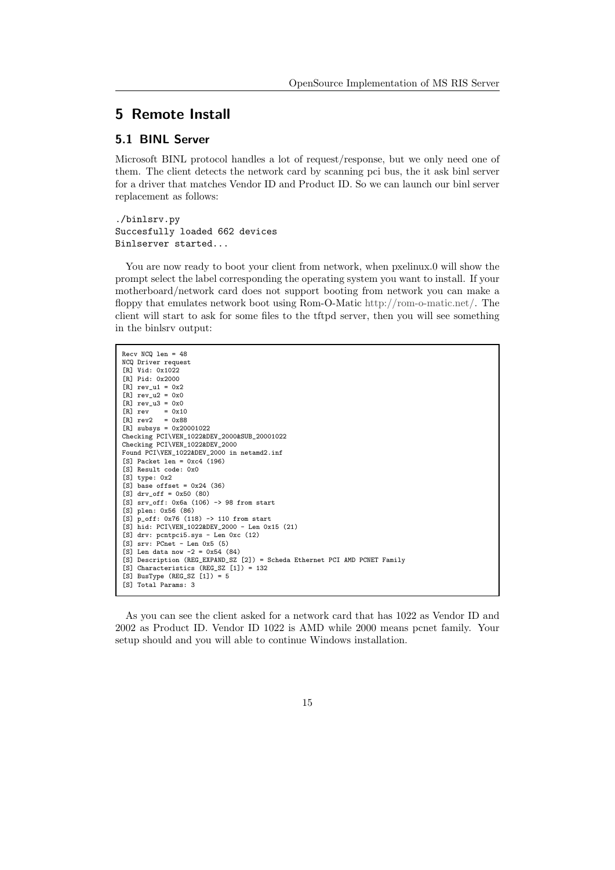## <span id="page-14-0"></span>5 Remote Install

#### <span id="page-14-1"></span>5.1 BINL Server

Microsoft BINL protocol handles a lot of request/response, but we only need one of them. The client detects the network card by scanning pci bus, the it ask binl server for a driver that matches Vendor ID and Product ID. So we can launch our binl server replacement as follows:

./binlsrv.py Succesfully loaded 662 devices Binlserver started...

You are now ready to boot your client from network, when pxelinux.0 will show the prompt select the label corresponding the operating system you want to install. If your motherboard/network card does not support booting from network you can make a floppy that emulates network boot using Rom-O-Matic [http://rom-o-matic.net/.](http://rom-o-matic.net/) The client will start to ask for some files to the tftpd server, then you will see something in the binlsrv output:

| $Recv$ NCQ $len = 48$                                                      |
|----------------------------------------------------------------------------|
| NCQ Driver request                                                         |
| [R] Vid: 0x1022                                                            |
| [R] Pid: 0x2000                                                            |
| $[R]$ rev_u1 = 0x2                                                         |
| $[R]$ rev_u2 = 0x0                                                         |
| $[R]$ rev_u3 = 0x0                                                         |
| $[R]$ rev = 0x10                                                           |
| $[R]$ rev2 = 0x88                                                          |
| $[R]$ subsys = 0x20001022                                                  |
| Checking PCI\VEN_1022&DEV_2000&SUB_20001022                                |
| Checking PCI\VEN_1022&DEV_2000                                             |
| Found PCI\VEN_1022&DEV_2000 in netamd2.inf                                 |
| $[S]$ Packet len = 0xc4 (196)                                              |
| [S] Result code: 0x0                                                       |
| $[S]$ type: $0x2$                                                          |
| $[S]$ base offset = 0x24 (36)                                              |
| $[S]$ dry off = 0x50 (80)                                                  |
| [S] $srv_off: 0x6a (106) \rightarrow 98 from start$                        |
| $[S]$ plen: $0x56(86)$                                                     |
| [S] $p_{off}: 0x76 (118) \rightarrow 110 from start$                       |
| [S] hid: $PCI\VEN_1022&DEV_2000 - Len 0x15 (21)$                           |
| $[S]$ drv: pontpci5.sys - Len 0xc (12)                                     |
| $[S]$ srv: PCnet - Len 0x5 (5)                                             |
| [S] Len data now $-2 = 0x54$ (84)                                          |
| [S] Description (REG_EXPAND_SZ [2]) = Scheda Ethernet PCI AMD PCNET Family |
| [S] Characteristics (REG_SZ $[1]$ ) = 132                                  |
| $[S]$ BusType (REG_SZ $[1]$ ) = 5                                          |
| [S] Total Params: 3                                                        |

As you can see the client asked for a network card that has 1022 as Vendor ID and 2002 as Product ID. Vendor ID 1022 is AMD while 2000 means pcnet family. Your setup should and you will able to continue Windows installation.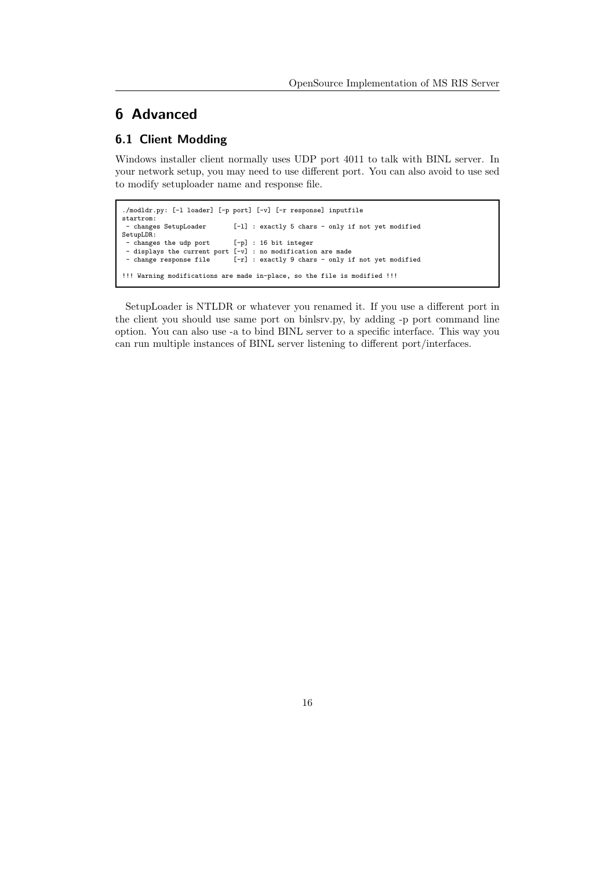## <span id="page-15-0"></span>6 Advanced

## <span id="page-15-1"></span>6.1 Client Modding

Windows installer client normally uses UDP port 4011 to talk with BINL server. In your network setup, you may need to use different port. You can also avoid to use sed to modify setuploader name and response file.

```
./modldr.py: [-l loader] [-p port] [-v] [-r response] inputfile
startrom:<br>- changes SetupLoader
                                  [-1] : exactly 5 chars - only if not yet modified
SetupLDR:
 - changes the udp port [-p] : 16 bit integer
 - displays the current port [-v] : no modification are made<br>- change response file [-r] : exactly 9 chars - only i
                                  [-r] : exactly 9 chars - only if not yet modified
!!! Warning modifications are made in-place, so the file is modified !!!
```
SetupLoader is NTLDR or whatever you renamed it. If you use a different port in the client you should use same port on binlsrv.py, by adding -p port command line option. You can also use -a to bind BINL server to a specific interface. This way you can run multiple instances of BINL server listening to different port/interfaces.